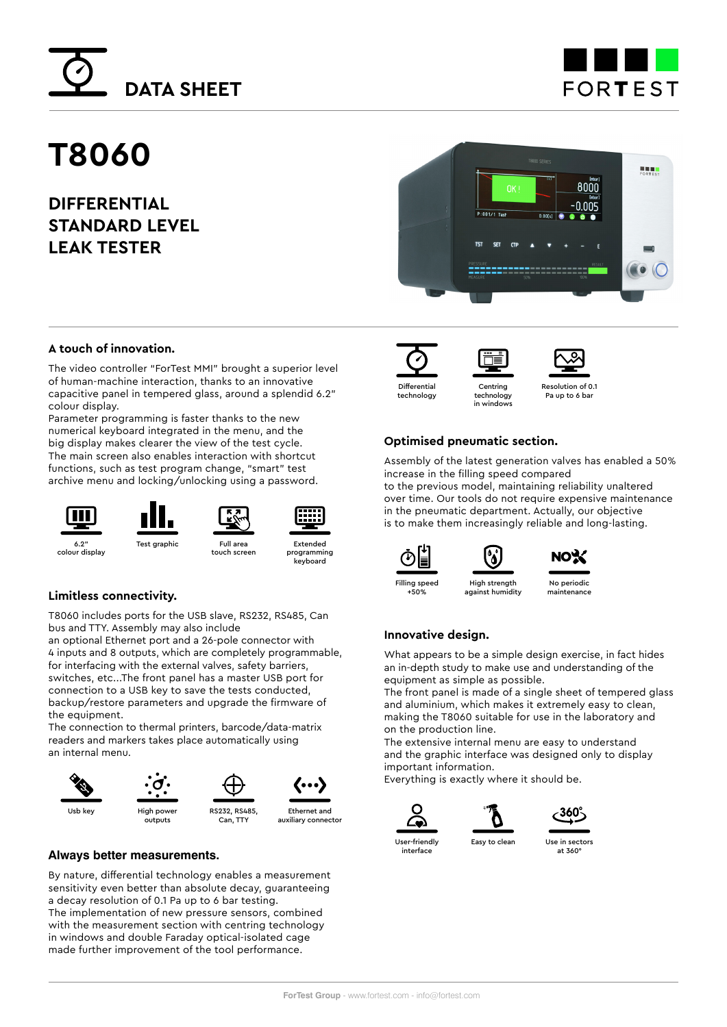



# **T8060**

**DIFFERENTIAL STANDARD LEVEL LEAK TESTER**



### **A touch of innovation.**

The video controller "ForTest MMI" brought a superior level of human-machine interaction, thanks to an innovative capacitive panel in tempered glass, around a splendid 6.2" colour display.

Parameter programming is faster thanks to the new numerical keyboard integrated in the menu, and the big display makes clearer the view of the test cycle. The main screen also enables interaction with shortcut functions, such as test program change, "smart" test archive menu and locking/unlocking using a password.

6.2"

colour display





touch screen



Extended programming keyboard

#### **Limitless connectivity.**

T8060 includes ports for the USB slave, RS232, RS485, Can bus and TTY. Assembly may also include

an optional Ethernet port and a 26-pole connector with 4 inputs and 8 outputs, which are completely programmable, for interfacing with the external valves, safety barriers, switches, etc...The front panel has a master USB port for connection to a USB key to save the tests conducted, backup/restore parameters and upgrade the firmware of the equipment.

The connection to thermal printers, barcode/data-matrix readers and markers takes place automatically using an internal menu.



#### **Always better measurements.**

By nature, differential technology enables a measurement sensitivity even better than absolute decay, guaranteeing a decay resolution of 0.1 Pa up to 6 bar testing. The implementation of new pressure sensors, combined with the measurement section with centring technology in windows and double Faraday optical-isolated cage made further improvement of the tool performance.







Resolution of 0.1 Pa up to 6 bar

#### **Optimised pneumatic section.**

in windows

High strength against humidity

Δ

Assembly of the latest generation valves has enabled a 50% increase in the filling speed compared

to the previous model, maintaining reliability unaltered over time. Our tools do not require expensive maintenance in the pneumatic department. Actually, our objective is to make them increasingly reliable and long-lasting.





No periodic maintenance

#### **Innovative design.**

What appears to be a simple design exercise, in fact hides an in-depth study to make use and understanding of the equipment as simple as possible.

The front panel is made of a single sheet of tempered glass and aluminium, which makes it extremely easy to clean, making the T8060 suitable for use in the laboratory and on the production line.

The extensive internal menu are easy to understand and the graphic interface was designed only to display important information.

Everything is exactly where it should be.





Easy to clean Use in sectors at 360°